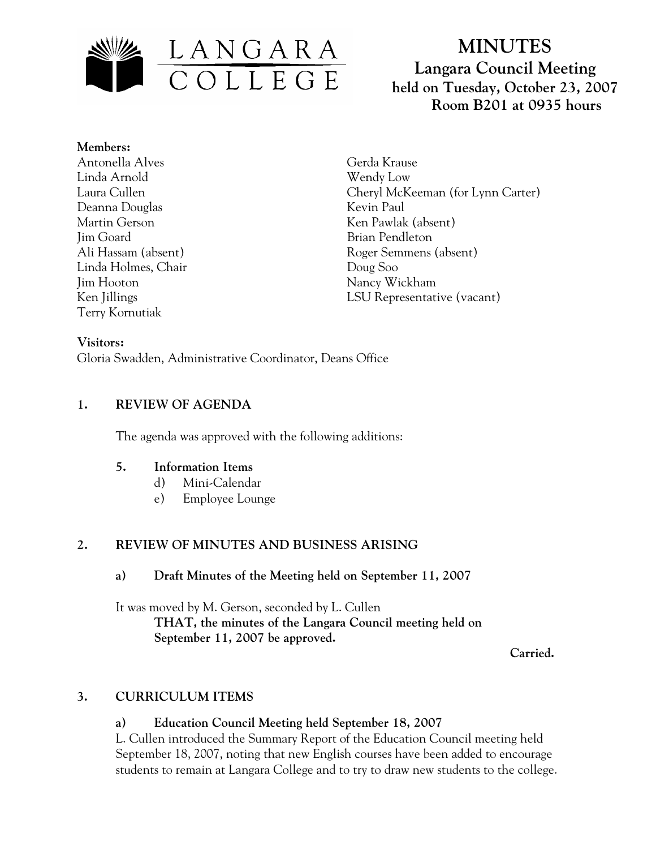

# **MINUTES Langara Council Meeting held on Tuesday, October 23, 2007 Room B201 at 0935 hours**

**Members:** Antonella Alves Linda Arnold Laura Cullen Deanna Douglas Martin Gerson Jim Goard Ali Hassam (absent) Linda Holmes, Chair Jim Hooton Ken Jillings Terry Kornutiak

Gerda Krause Wendy Low Cheryl McKeeman (for Lynn Carter) Kevin Paul Ken Pawlak (absent) Brian Pendleton Roger Semmens (absent) Doug Soo Nancy Wickham LSU Representative (vacant)

## **Visitors:**

Gloria Swadden, Administrative Coordinator, Deans Office

# **1. REVIEW OF AGENDA**

The agenda was approved with the following additions:

## **5. Information Items**

- d) Mini-Calendar
- e) Employee Lounge

# **2. REVIEW OF MINUTES AND BUSINESS ARISING**

## **a) Draft Minutes of the Meeting held on September 11, 2007**

It was moved by M. Gerson, seconded by L. Cullen  **THAT, the minutes of the Langara Council meeting held on September 11, 2007 be approved.** 

 **Carried.** 

# **3. CURRICULUM ITEMS**

## **a) Education Council Meeting held September 18, 2007**

L. Cullen introduced the Summary Report of the Education Council meeting held September 18, 2007, noting that new English courses have been added to encourage students to remain at Langara College and to try to draw new students to the college.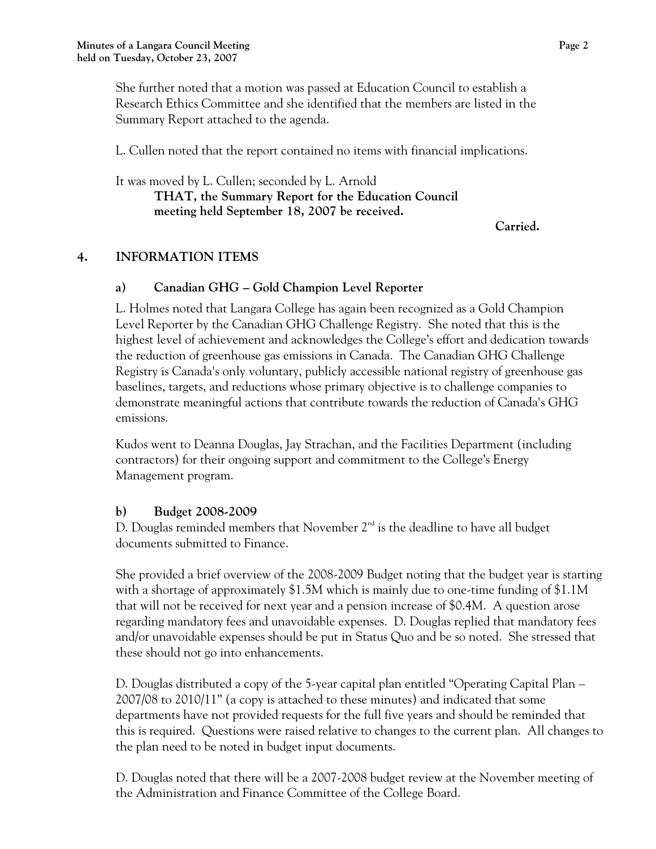She further noted that a motion was passed at Education Council to establish a Research Ethics Committee and she identified that the members are listed in the Summary Report attached to the agenda.

L. Cullen noted that the report contained no items with financial implications.

It was moved by L. Cullen; seconded by L. Arnold **THAT, the Summary Report for the Education Council meeting held September 18, 2007 be received.** 

**Carried.** 

## **4. INFORMATION ITEMS**

#### **a) Canadian GHG – Gold Champion Level Reporter**

L. Holmes noted that Langara College has again been recognized as a Gold Champion Level Reporter by the Canadian GHG Challenge Registry. She noted that this is the highest level of achievement and acknowledges the College's effort and dedication towards the reduction of greenhouse gas emissions in Canada. The Canadian GHG Challenge Registry is Canada's only voluntary, publicly accessible national registry of greenhouse gas baselines, targets, and reductions whose primary objective is to challenge companies to demonstrate meaningful actions that contribute towards the reduction of Canada's GHG emissions.

Kudos went to Deanna Douglas, Jay Strachan, and the Facilities Department (including contractors) for their ongoing support and commitment to the College's Energy Management program.

## **b) Budget 2008-2009**

D. Douglas reminded members that November  $2<sup>nd</sup>$  is the deadline to have all budget documents submitted to Finance.

She provided a brief overview of the 2008-2009 Budget noting that the budget year is starting with a shortage of approximately \$1.5M which is mainly due to one-time funding of \$1.1M that will not be received for next year and a pension increase of \$0.4M. A question arose regarding mandatory fees and unavoidable expenses. D. Douglas replied that mandatory fees and/or unavoidable expenses should be put in Status Quo and be so noted. She stressed that these should not go into enhancements.

D. Douglas distributed a copy of the 5-year capital plan entitled "Operating Capital Plan – 2007/08 to 2010/11" (a copy is attached to these minutes) and indicated that some departments have not provided requests for the full five years and should be reminded that this is required. Questions were raised relative to changes to the current plan. All changes to the plan need to be noted in budget input documents.

D. Douglas noted that there will be a 2007-2008 budget review at the November meeting of the Administration and Finance Committee of the College Board.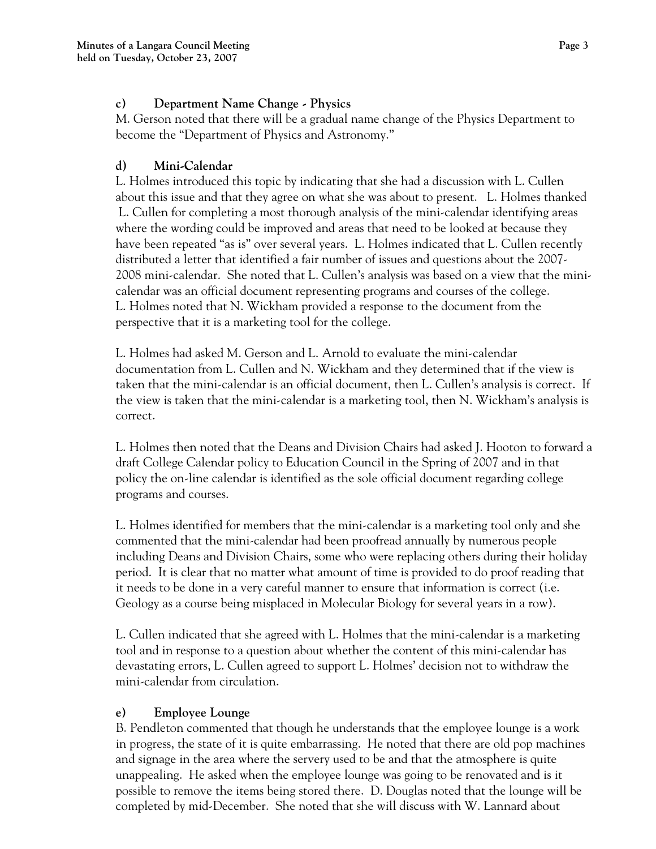## **c) Department Name Change - Physics**

M. Gerson noted that there will be a gradual name change of the Physics Department to become the "Department of Physics and Astronomy."

## **d) Mini-Calendar**

L. Holmes introduced this topic by indicating that she had a discussion with L. Cullen about this issue and that they agree on what she was about to present. L. Holmes thanked L. Cullen for completing a most thorough analysis of the mini-calendar identifying areas where the wording could be improved and areas that need to be looked at because they have been repeated "as is" over several years. L. Holmes indicated that L. Cullen recently distributed a letter that identified a fair number of issues and questions about the 2007- 2008 mini-calendar. She noted that L. Cullen's analysis was based on a view that the minicalendar was an official document representing programs and courses of the college. L. Holmes noted that N. Wickham provided a response to the document from the perspective that it is a marketing tool for the college.

L. Holmes had asked M. Gerson and L. Arnold to evaluate the mini-calendar documentation from L. Cullen and N. Wickham and they determined that if the view is taken that the mini-calendar is an official document, then L. Cullen's analysis is correct. If the view is taken that the mini-calendar is a marketing tool, then N. Wickham's analysis is correct.

L. Holmes then noted that the Deans and Division Chairs had asked J. Hooton to forward a draft College Calendar policy to Education Council in the Spring of 2007 and in that policy the on-line calendar is identified as the sole official document regarding college programs and courses.

L. Holmes identified for members that the mini-calendar is a marketing tool only and she commented that the mini-calendar had been proofread annually by numerous people including Deans and Division Chairs, some who were replacing others during their holiday period. It is clear that no matter what amount of time is provided to do proof reading that it needs to be done in a very careful manner to ensure that information is correct (i.e. Geology as a course being misplaced in Molecular Biology for several years in a row).

L. Cullen indicated that she agreed with L. Holmes that the mini-calendar is a marketing tool and in response to a question about whether the content of this mini-calendar has devastating errors, L. Cullen agreed to support L. Holmes' decision not to withdraw the mini-calendar from circulation.

# **e) Employee Lounge**

B. Pendleton commented that though he understands that the employee lounge is a work in progress, the state of it is quite embarrassing. He noted that there are old pop machines and signage in the area where the servery used to be and that the atmosphere is quite unappealing. He asked when the employee lounge was going to be renovated and is it possible to remove the items being stored there. D. Douglas noted that the lounge will be completed by mid-December. She noted that she will discuss with W. Lannard about